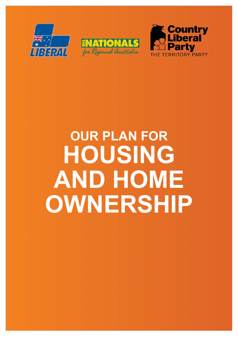





# **OUR PLAN FOR HOUSING AND HOME OWNERSHIP**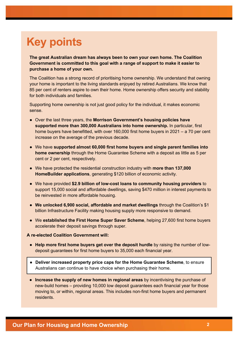# **Key points**

**The great Australian dream has always been to own your own home. The Coalition Government is committed to this goal with a range of support to make it easier to purchase a home of your own.** 

The Coalition has a strong record of prioritising home ownership. We understand that owning your home is important to the living standards enjoyed by retired Australians. We know that 85 per cent of renters aspire to own their home. Home ownership offers security and stability for both individuals and families.

Supporting home ownership is not just good policy for the individual, it makes economic sense.

- Over the last three years, the **Morrison Government's housing policies have supported more than 300,000 Australians into home ownership.** In particular, first home buyers have benefitted, with over 160,000 first home buyers in 2021 – a 70 per cent increase on the average of the previous decade.
- We have **supported almost 60,000 first home buyers and single parent families into home ownership** through the Home Guarantee Scheme with a deposit as little as 5 per cent or 2 per cent, respectively.
- We have protected the residential construction industry with **more than 137,000 HomeBuilder applications**, generating \$120 billion of economic activity.
- We have provided **\$2.9 billion of low-cost loans to community housing providers** to support 15,000 social and affordable dwellings, saving \$470 million in interest payments to be reinvested in more affordable housing.
- **We unlocked 6,900 social, affordable and market dwellings** through the Coalition's \$1 billion Infrastructure Facility making housing supply more responsive to demand.
- We **established the First Home Super Saver Scheme**, helping 27,600 first home buyers accelerate their deposit savings through super.

#### **A re-elected Coalition Government will:**

- **Help more first home buyers get over the deposit hurdle** by raising the number of lowdeposit guarantees for first home buyers to 35,000 each financial year.
- **Deliver increased property price caps for the Home Guarantee Scheme**, to ensure Australians can continue to have choice when purchasing their home.
- **Increase the supply of new homes in regional areas** by incentivising the purchase of new-build homes – providing 10,000 low deposit guarantees each financial year for those moving to, or within, regional areas. This includes non-first home buyers and permanent residents.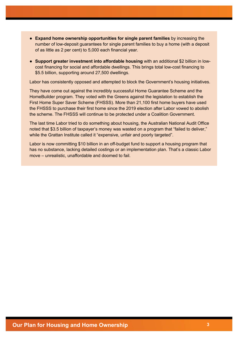- **Expand home ownership opportunities for single parent families** by increasing the number of low-deposit guarantees for single parent families to buy a home (with a deposit of as little as 2 per cent) to 5,000 each financial year.
- **Support greater investment into affordable housing** with an additional \$2 billion in lowcost financing for social and affordable dwellings. This brings total low-cost financing to \$5.5 billion, supporting around 27,500 dwellings.

Labor has consistently opposed and attempted to block the Government's housing initiatives.

They have come out against the incredibly successful Home Guarantee Scheme and the HomeBuilder program. They voted with the Greens against the legislation to establish the First Home Super Saver Scheme (FHSSS). More than 21,100 first home buyers have used the FHSSS to purchase their first home since the 2019 election after Labor vowed to abolish the scheme. The FHSSS will continue to be protected under a Coalition Government.

The last time Labor tried to do something about housing, the Australian National Audit Office noted that \$3.5 billion of taxpayer's money was wasted on a program that "failed to deliver," while the Grattan Institute called it "expensive, unfair and poorly targeted".

Labor is now committing \$10 billion in an off-budget fund to support a housing program that has no substance, lacking detailed costings or an implementation plan. That's a classic Labor move – unrealistic, unaffordable and doomed to fail.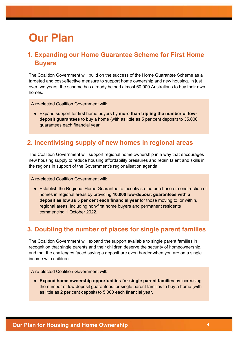# **Our Plan**

## **1. Expanding our Home Guarantee Scheme for First Home Buyers**

The Coalition Government will build on the success of the Home Guarantee Scheme as a targeted and cost-effective measure to support home ownership and new housing. In just over two years, the scheme has already helped almost 60,000 Australians to buy their own homes.

A re-elected Coalition Government will:

● Expand support for first home buyers by **more than tripling the number of lowdeposit guarantees** to buy a home (with as little as 5 per cent deposit) to 35,000 guarantees each financial year.

#### **2. Incentivising supply of new homes in regional areas**

The Coalition Government will support regional home ownership in a way that encourages new housing supply to reduce housing affordability pressures and retain talent and skills in the regions in support of the Government's regionalisation agenda.

A re-elected Coalition Government will:

● Establish the Regional Home Guarantee to incentivise the purchase or construction of homes in regional areas by providing **10,000 low-deposit guarantees with a deposit as low as 5 per cent each financial year** for those moving to, or within, regional areas, including non-first home buyers and permanent residents commencing 1 October 2022.

## **3. Doubling the number of places for single parent families**

The Coalition Government will expand the support available to single parent families in recognition that single parents and their children deserve the security of homeownership, and that the challenges faced saving a deposit are even harder when you are on a single income with children.

A re-elected Coalition Government will:

● **Expand home ownership opportunities for single parent families** by increasing the number of low deposit guarantees for single parent families to buy a home (with as little as 2 per cent deposit) to 5,000 each financial year.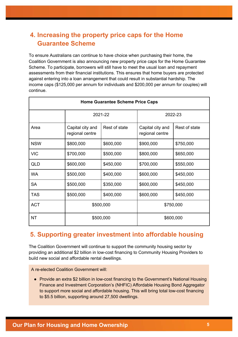## **4. Increasing the property price caps for the Home Guarantee Scheme**

To ensure Australians can continue to have choice when purchasing their home, the Coalition Government is also announcing new property price caps for the Home Guarantee Scheme. To participate, borrowers will still have to meet the usual loan and repayment assessments from their financial institutions. This ensures that home buyers are protected against entering into a loan arrangement that could result in substantial hardship. The income caps (\$125,000 per annum for individuals and \$200,000 per annum for couples) will continue.

| <b>Home Guarantee Scheme Price Caps</b> |                                     |               |                                     |               |  |
|-----------------------------------------|-------------------------------------|---------------|-------------------------------------|---------------|--|
|                                         | 2021-22                             |               | 2022-23                             |               |  |
| Area                                    | Capital city and<br>regional centre | Rest of state | Capital city and<br>regional centre | Rest of state |  |
| <b>NSW</b>                              | \$800,000                           | \$600,000     | \$900,000                           | \$750,000     |  |
| <b>VIC</b>                              | \$700,000                           | \$500,000     | \$800,000                           | \$650,000     |  |
| QLD                                     | \$600,000                           | \$450,000     | \$700,000                           | \$550,000     |  |
| <b>WA</b>                               | \$500,000                           | \$400,000     | \$600,000                           | \$450,000     |  |
| <b>SA</b>                               | \$500,000                           | \$350,000     | \$600,000                           | \$450,000     |  |
| <b>TAS</b>                              | \$500,000                           | \$400,000     | \$600,000                           | \$450,000     |  |
| <b>ACT</b>                              | \$500,000                           |               | \$750,000                           |               |  |
| <b>NT</b>                               | \$500,000                           |               | \$600,000                           |               |  |

## **5. Supporting greater investment into affordable housing**

The Coalition Government will continue to support the community housing sector by providing an additional \$2 billion in low-cost financing to Community Housing Providers to build new social and affordable rental dwellings.

A re-elected Coalition Government will:

● Provide an extra \$2 billion in low-cost financing to the Government's National Housing Finance and Investment Corporation's (NHFIC) Affordable Housing Bond Aggregator to support more social and affordable housing. This will bring total low-cost financing to \$5.5 billion, supporting around 27,500 dwellings.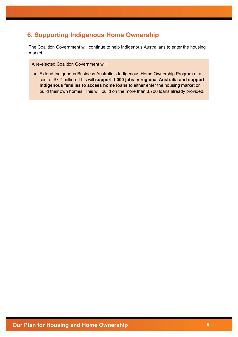## **6. Supporting Indigenous Home Ownership**

The Coalition Government will continue to help Indigenous Australians to enter the housing market.

A re-elected Coalition Government will:

● Extend Indigenous Business Australia's Indigenous Home Ownership Program at a cost of \$7.7 million. This will **support 1,000 jobs in regional Australia and support Indigenous families to access home loans** to either enter the housing market or build their own homes. This will build on the more than 3,700 loans already provided.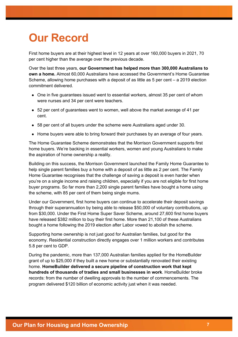# **Our Record**

First home buyers are at their highest level in 12 years at over 160,000 buyers in 2021, 70 per cent higher than the average over the previous decade.

Over the last three years, **our Government has helped more than 300,000 Australians to own a home.** Almost 60,000 Australians have accessed the Government's Home Guarantee Scheme, allowing home purchases with a deposit of as little as 5 per cent – a 2019 election commitment delivered.

- One in five guarantees issued went to essential workers, almost 35 per cent of whom were nurses and 34 per cent were teachers.
- 52 per cent of guarantees went to women, well above the market average of 41 per cent.
- 58 per cent of all buyers under the scheme were Australians aged under 30.
- Home buyers were able to bring forward their purchases by an average of four years.

The Home Guarantee Scheme demonstrates that the Morrison Government supports first home buyers. We're backing in essential workers, women and young Australians to make the aspiration of home ownership a reality.

Building on this success, the Morrison Government launched the Family Home Guarantee to help single parent families buy a home with a deposit of as little as 2 per cent. The Family Home Guarantee recognises that the challenge of saving a deposit is even harder when you're on a single income and raising children, especially if you are not eligible for first home buyer programs. So far more than 2,200 single parent families have bought a home using the scheme, with 85 per cent of them being single mums.

Under our Government, first home buyers can continue to accelerate their deposit savings through their superannuation by being able to release \$50,000 of voluntary contributions, up from \$30,000. Under the First Home Super Saver Scheme, around 27,600 first home buyers have released \$382 million to buy their first home. More than 21,100 of these Australians bought a home following the 2019 election after Labor vowed to abolish the scheme.

Supporting home ownership is not just good for Australian families, but good for the economy. Residential construction directly engages over 1 million workers and contributes 5.8 per cent to GDP.

During the pandemic, more than 137,000 Australian families applied for the HomeBuilder grant of up to \$25,000 if they built a new home or substantially renovated their existing home. **HomeBuilder delivered a secure pipeline of construction work that kept hundreds of thousands of tradies and small businesses in work**. HomeBuilder broke records: from the number of dwelling approvals to the number of commencements. The program delivered \$120 billion of economic activity just when it was needed.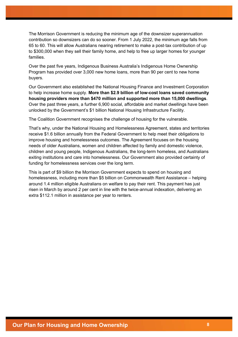The Morrison Government is reducing the minimum age of the downsizer superannuation contribution so downsizers can do so sooner. From 1 July 2022, the minimum age falls from 65 to 60. This will allow Australians nearing retirement to make a post-tax contribution of up to \$300,000 when they sell their family home, and help to free up larger homes for younger families.

Over the past five years, Indigenous Business Australia's Indigenous Home Ownership Program has provided over 3,000 new home loans, more than 90 per cent to new home buyers.

Our Government also established the National Housing Finance and Investment Corporation to help increase home supply. **More than \$2.9 billion of low-cost loans saved community housing providers more than \$470 million and supported more than 15,000 dwellings**. Over the past three years, a further 6,900 social, affordable and market dwellings have been unlocked by the Government's \$1 billion National Housing Infrastructure Facility.

The Coalition Government recognises the challenge of housing for the vulnerable.

That's why, under the National Housing and Homelessness Agreement, states and territories receive \$1.6 billion annually from the Federal Government to help meet their obligations to improve housing and homelessness outcomes. The Agreement focuses on the housing needs of older Australians, women and children affected by family and domestic violence, children and young people, Indigenous Australians, the long-term homeless, and Australians exiting institutions and care into homelessness. Our Government also provided certainty of funding for homelessness services over the long term.

This is part of \$9 billion the Morrison Government expects to spend on housing and homelessness, including more than \$5 billion on Commonwealth Rent Assistance – helping around 1.4 million eligible Australians on welfare to pay their rent. This payment has just risen in March by around 2 per cent in line with the twice-annual indexation, delivering an extra \$112.1 million in assistance per year to renters.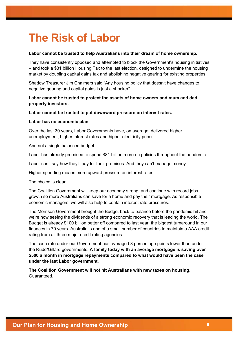# **The Risk of Labor**

#### **Labor cannot be trusted to help Australians into their dream of home ownership.**

They have consistently opposed and attempted to block the Government's housing initiatives – and took a \$31 billion Housing Tax to the last election, designed to undermine the housing market by doubling capital gains tax and abolishing negative gearing for existing properties.

Shadow Treasurer Jim Chalmers said "Any housing policy that doesn't have changes to negative gearing and capital gains is just a shocker".

#### **Labor cannot be trusted to protect the assets of home owners and mum and dad property investors.**

#### **Labor cannot be trusted to put downward pressure on interest rates.**

#### **Labor has no economic plan**.

Over the last 30 years, Labor Governments have, on average, delivered higher unemployment, higher interest rates and higher electricity prices.

And not a single balanced budget.

Labor has already promised to spend \$81 billion more on policies throughout the pandemic.

Labor can't say how they'll pay for their promises. And they can't manage money.

Higher spending means more upward pressure on interest rates.

The choice is clear.

The Coalition Government will keep our economy strong, and continue with record jobs growth so more Australians can save for a home and pay their mortgage. As responsible economic managers, we will also help to contain interest rate pressures.

The Morrison Government brought the Budget back to balance before the pandemic hit and we're now seeing the dividends of a strong economic recovery that is leading the world. The Budget is already \$100 billion better off compared to last year, the biggest turnaround in our finances in 70 years. Australia is one of a small number of countries to maintain a AAA credit rating from all three major credit rating agencies.

The cash rate under our Government has averaged 3 percentage points lower than under the Rudd/Gillard governments. **A family today with an average mortgage is saving over \$500 a month in mortgage repayments compared to what would have been the case under the last Labor government.**

**The Coalition Government will not hit Australians with new taxes on housing**. Guaranteed.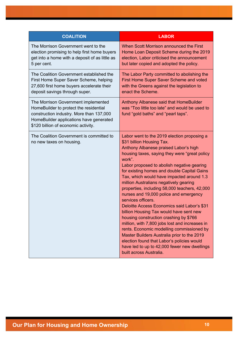| <b>COALITION</b>                                                                                                                                                                                            | <b>LABOR</b>                                                                                                                                                                                                                                                                                                                                                                                                                                                                                                                                                                                                                                                                                                                                                                                                                                                                                 |  |  |
|-------------------------------------------------------------------------------------------------------------------------------------------------------------------------------------------------------------|----------------------------------------------------------------------------------------------------------------------------------------------------------------------------------------------------------------------------------------------------------------------------------------------------------------------------------------------------------------------------------------------------------------------------------------------------------------------------------------------------------------------------------------------------------------------------------------------------------------------------------------------------------------------------------------------------------------------------------------------------------------------------------------------------------------------------------------------------------------------------------------------|--|--|
| The Morrison Government went to the<br>election promising to help first home buyers<br>get into a home with a deposit of as little as<br>5 per cent.                                                        | When Scott Morrison announced the First<br>Home Loan Deposit Scheme during the 2019<br>election, Labor criticised the announcement<br>but later copied and adopted the policy.                                                                                                                                                                                                                                                                                                                                                                                                                                                                                                                                                                                                                                                                                                               |  |  |
| The Coalition Government established the<br>First Home Super Saver Scheme, helping<br>27,600 first home buyers accelerate their<br>deposit savings through super.                                           | The Labor Party committed to abolishing the<br>First Home Super Saver Scheme and voted<br>with the Greens against the legislation to<br>enact the Scheme.                                                                                                                                                                                                                                                                                                                                                                                                                                                                                                                                                                                                                                                                                                                                    |  |  |
| The Morrison Government implemented<br>HomeBuilder to protect the residential<br>construction industry. More than 137,000<br>HomeBuilder applications have generated<br>\$120 billion of economic activity. | Anthony Albanese said that HomeBuilder<br>was "Too little too late" and would be used to<br>fund "gold baths" and "pearl taps".                                                                                                                                                                                                                                                                                                                                                                                                                                                                                                                                                                                                                                                                                                                                                              |  |  |
| The Coalition Government is committed to<br>no new taxes on housing.                                                                                                                                        | Labor went to the 2019 election proposing a<br>\$31 billion Housing Tax.<br>Anthony Albanese praised Labor's high<br>housing taxes, saying they were "great policy<br>work".<br>Labor proposed to abolish negative gearing<br>for existing homes and double Capital Gains<br>Tax, which would have impacted around 1.3<br>million Australians negatively gearing<br>properties, including 58,000 teachers, 42,000<br>nurses and 19,000 police and emergency<br>services officers.<br>Deloitte Access Economics said Labor's \$31<br>billion Housing Tax would have sent new<br>housing construction crashing by \$766<br>million, with 7,800 jobs lost and increases in<br>rents. Economic modelling commissioned by<br>Master Builders Australia prior to the 2019<br>election found that Labor's policies would<br>have led to up to 42,000 fewer new dwellings<br>built across Australia. |  |  |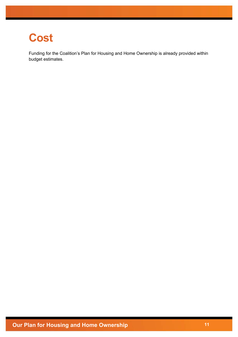## **Cost**

Funding for the Coalition's Plan for Housing and Home Ownership is already provided within budget estimates.